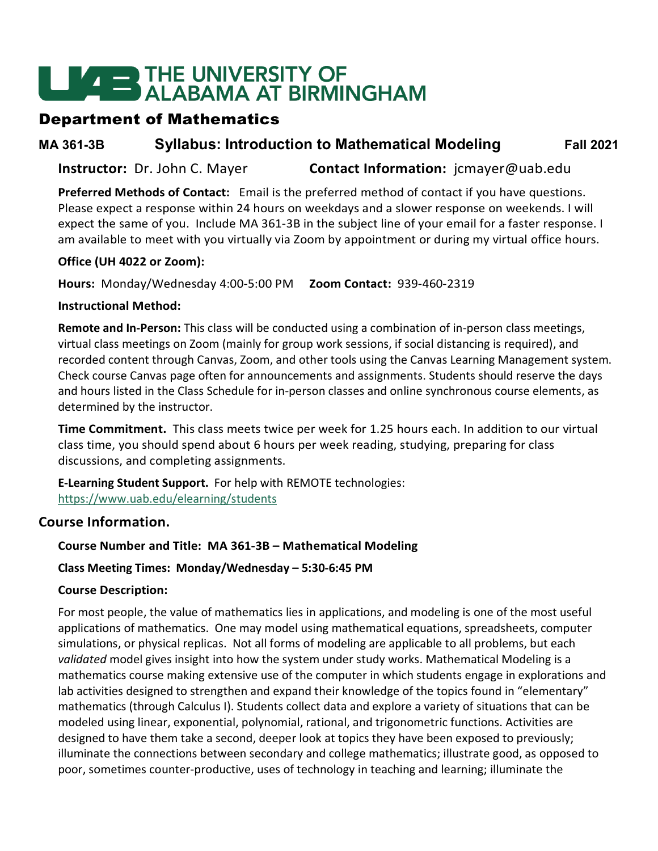# **LEADER THE UNIVERSITY OF<br>ALABAMA AT BIRMINGHAM**

## Department of Mathematics

**MA 361-3B Syllabus: Introduction to Mathematical Modeling Fall 2021**

**Instructor:** Dr. John C. Mayer **Contact Information:** jcmayer@uab.edu

**Preferred Methods of Contact:** Email is the preferred method of contact if you have questions. Please expect a response within 24 hours on weekdays and a slower response on weekends. I will expect the same of you. Include MA 361-3B in the subject line of your email for a faster response. I am available to meet with you virtually via Zoom by appointment or during my virtual office hours.

#### **Office (UH 4022 or Zoom):**

**Hours:** Monday/Wednesday 4:00-5:00 PM **Zoom Contact:** 939-460-2319

#### **Instructional Method:**

**Remote and In-Person:** This class will be conducted using a combination of in-person class meetings, virtual class meetings on Zoom (mainly for group work sessions, if social distancing is required), and recorded content through Canvas, Zoom, and other tools using the Canvas Learning Management system. Check course Canvas page often for announcements and assignments. Students should reserve the days and hours listed in the Class Schedule for in-person classes and online synchronous course elements, as determined by the instructor.

**Time Commitment.** This class meets twice per week for 1.25 hours each. In addition to our virtual class time, you should spend about 6 hours per week reading, studying, preparing for class discussions, and completing assignments.

**E-Learning Student Support.** For help with REMOTE technologies: <https://www.uab.edu/elearning/students>

## **Course Information.**

#### **Course Number and Title: MA 361-3B – Mathematical Modeling**

#### **Class Meeting Times: Monday/Wednesday – 5:30-6:45 PM**

#### **Course Description:**

For most people, the value of mathematics lies in applications, and modeling is one of the most useful applications of mathematics. One may model using mathematical equations, spreadsheets, computer simulations, or physical replicas. Not all forms of modeling are applicable to all problems, but each *validated* model gives insight into how the system under study works. Mathematical Modeling is a mathematics course making extensive use of the computer in which students engage in explorations and lab activities designed to strengthen and expand their knowledge of the topics found in "elementary" mathematics (through Calculus I). Students collect data and explore a variety of situations that can be modeled using linear, exponential, polynomial, rational, and trigonometric functions. Activities are designed to have them take a second, deeper look at topics they have been exposed to previously; illuminate the connections between secondary and college mathematics; illustrate good, as opposed to poor, sometimes counter-productive, uses of technology in teaching and learning; illuminate the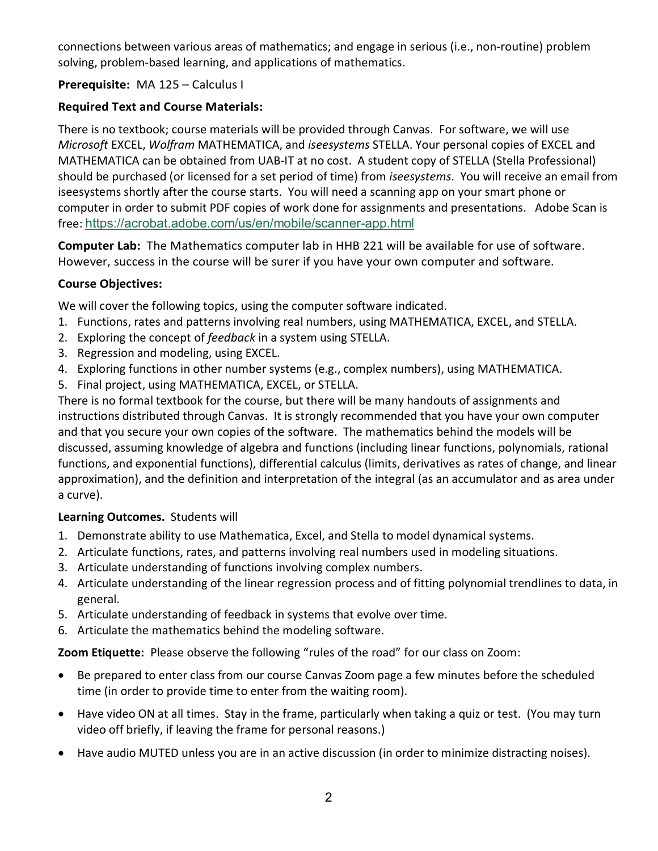connections between various areas of mathematics; and engage in serious (i.e., non-routine) problem solving, problem-based learning, and applications of mathematics.

#### **Prerequisite:** MA 125 – Calculus I

#### **Required Text and Course Materials:**

There is no textbook; course materials will be provided through Canvas. For software, we will use *Microsoft* EXCEL, *Wolfram* MATHEMATICA, and *iseesystems* STELLA. Your personal copies of EXCEL and MATHEMATICA can be obtained from UAB-IT at no cost. A student copy of STELLA (Stella Professional) should be purchased (or licensed for a set period of time) from *iseesystems*. You will receive an email from iseesystems shortly after the course starts. You will need a scanning app on your smart phone or computer in order to submit PDF copies of work done for assignments and presentations. Adobe Scan is free: <https://acrobat.adobe.com/us/en/mobile/scanner-app.html>

**Computer Lab:** The Mathematics computer lab in HHB 221 will be available for use of software. However, success in the course will be surer if you have your own computer and software.

#### **Course Objectives:**

We will cover the following topics, using the computer software indicated.

- 1. Functions, rates and patterns involving real numbers, using MATHEMATICA, EXCEL, and STELLA.
- 2. Exploring the concept of *feedback* in a system using STELLA.
- 3. Regression and modeling, using EXCEL.
- 4. Exploring functions in other number systems (e.g., complex numbers), using MATHEMATICA.
- 5. Final project, using MATHEMATICA, EXCEL, or STELLA.

There is no formal textbook for the course, but there will be many handouts of assignments and instructions distributed through Canvas. It is strongly recommended that you have your own computer and that you secure your own copies of the software. The mathematics behind the models will be discussed, assuming knowledge of algebra and functions (including linear functions, polynomials, rational functions, and exponential functions), differential calculus (limits, derivatives as rates of change, and linear approximation), and the definition and interpretation of the integral (as an accumulator and as area under a curve).

#### **Learning Outcomes.** Students will

- 1. Demonstrate ability to use Mathematica, Excel, and Stella to model dynamical systems.
- 2. Articulate functions, rates, and patterns involving real numbers used in modeling situations.
- 3. Articulate understanding of functions involving complex numbers.
- 4. Articulate understanding of the linear regression process and of fitting polynomial trendlines to data, in general.
- 5. Articulate understanding of feedback in systems that evolve over time.
- 6. Articulate the mathematics behind the modeling software.

**Zoom Etiquette:** Please observe the following "rules of the road" for our class on Zoom:

- Be prepared to enter class from our course Canvas Zoom page a few minutes before the scheduled time (in order to provide time to enter from the waiting room).
- Have video ON at all times. Stay in the frame, particularly when taking a quiz or test. (You may turn video off briefly, if leaving the frame for personal reasons.)
- Have audio MUTED unless you are in an active discussion (in order to minimize distracting noises).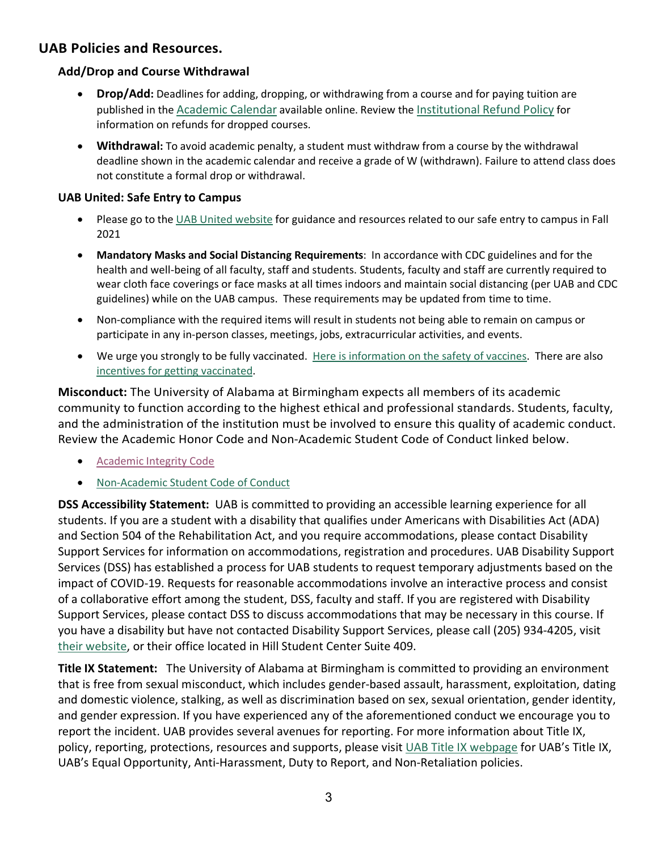## **UAB Policies and Resources.**

#### **Add/Drop and Course Withdrawal**

- **Drop/Add:** Deadlines for adding, dropping, or withdrawing from a course and for paying tuition are published in the [Academic Calendar](https://www.uab.edu/students/academics/academic-calendar) available online. Review the [Institutional Refund Policy](https://www.uab.edu/policies/content/Pages/UAB-FA-POL-0000091.html) for information on refunds for dropped courses.
- **Withdrawal:** To avoid academic penalty, a student must withdraw from a course by the withdrawal deadline shown in the academic calendar and receive a grade of W (withdrawn). Failure to attend class does not constitute a formal drop or withdrawal.

#### **UAB United: Safe Entry to Campus**

- Please go to the [UAB United website](https://www.uab.edu/uabunited/students) for guidance and resources related to our safe entry to campus in Fall 2021
- **Mandatory Masks and Social Distancing Requirements**: In accordance with CDC guidelines and for the health and well-being of all faculty, staff and students. Students, faculty and staff are currently required to wear cloth face coverings or face masks at all times indoors and maintain social distancing (per UAB and CDC guidelines) while on the UAB campus. These requirements may be updated from time to time.
- Non-compliance with the required items will result in students not being able to remain on campus or participate in any in-person classes, meetings, jobs, extracurricular activities, and events.
- We urge you strongly to be fully vaccinated. [Here is information on the safety of vaccines.](https://www.uab.edu/uabunited/covid-19-vaccine) There are also [incentives for getting vaccinated.](https://www.uab.edu/students/health/)

**Misconduct:** The University of Alabama at Birmingham expects all members of its academic community to function according to the highest ethical and professional standards. Students, faculty, and the administration of the institution must be involved to ensure this quality of academic conduct. Review the Academic Honor Code and Non-Academic Student Code of Conduct linked below.

- [Academic Integrity Code](https://www.uab.edu/one-stop/policies/academic-integrity-code)
- [Non-Academic Student Code of Conduct](http://www.uab.edu/studentconduct)

**DSS Accessibility Statement:** UAB is committed to providing an accessible learning experience for all students. If you are a student with a disability that qualifies under Americans with Disabilities Act (ADA) and Section 504 of the Rehabilitation Act, and you require accommodations, please contact Disability Support Services for information on accommodations, registration and procedures. UAB Disability Support Services (DSS) has established a process for UAB students to request temporary adjustments based on the impact of COVID-19. Requests for reasonable accommodations involve an interactive process and consist of a collaborative effort among the student, DSS, faculty and staff. If you are registered with Disability Support Services, please contact DSS to discuss accommodations that may be necessary in this course. If you have a disability but have not contacted Disability Support Services, please call (205) 934-4205, visit [their website,](http://www.uab.edu/dss) or their office located in Hill Student Center Suite 409.

**Title IX Statement:** The University of Alabama at Birmingham is committed to providing an environment that is free from sexual misconduct, which includes gender-based assault, harassment, exploitation, dating and domestic violence, stalking, as well as discrimination based on sex, sexual orientation, gender identity, and gender expression. If you have experienced any of the aforementioned conduct we encourage you to report the incident. UAB provides several avenues for reporting. For more information about Title IX, policy, reporting, protections, resources and supports, please visit [UAB Title IX webpage](http://www.uab.edu/titleix) for UAB's Title IX, UAB's Equal Opportunity, Anti-Harassment, Duty to Report, and Non-Retaliation policies.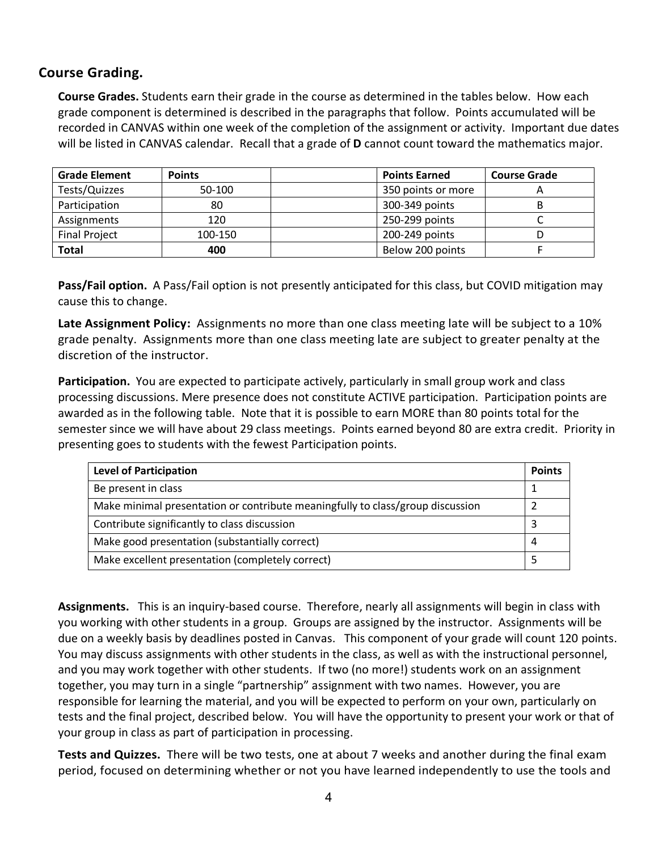### **Course Grading.**

**Course Grades.** Students earn their grade in the course as determined in the tables below. How each grade component is determined is described in the paragraphs that follow. Points accumulated will be recorded in CANVAS within one week of the completion of the assignment or activity. Important due dates will be listed in CANVAS calendar. Recall that a grade of **D** cannot count toward the mathematics major.

| <b>Grade Element</b> | <b>Points</b> | <b>Points Earned</b> | <b>Course Grade</b> |
|----------------------|---------------|----------------------|---------------------|
| Tests/Quizzes        | 50-100        | 350 points or more   |                     |
| Participation        | 80            | 300-349 points       |                     |
| Assignments          | 120           | 250-299 points       |                     |
| <b>Final Project</b> | 100-150       | 200-249 points       |                     |
| Total                | 400           | Below 200 points     |                     |

**Pass/Fail option.** A Pass/Fail option is not presently anticipated for this class, but COVID mitigation may cause this to change.

**Late Assignment Policy:** Assignments no more than one class meeting late will be subject to a 10% grade penalty. Assignments more than one class meeting late are subject to greater penalty at the discretion of the instructor.

**Participation.** You are expected to participate actively, particularly in small group work and class processing discussions. Mere presence does not constitute ACTIVE participation. Participation points are awarded as in the following table. Note that it is possible to earn MORE than 80 points total for the semester since we will have about 29 class meetings. Points earned beyond 80 are extra credit. Priority in presenting goes to students with the fewest Participation points.

| <b>Level of Participation</b>                                                  | <b>Points</b> |
|--------------------------------------------------------------------------------|---------------|
| Be present in class                                                            |               |
| Make minimal presentation or contribute meaningfully to class/group discussion |               |
| Contribute significantly to class discussion                                   |               |
| Make good presentation (substantially correct)                                 |               |
| Make excellent presentation (completely correct)                               |               |

**Assignments.** This is an inquiry-based course. Therefore, nearly all assignments will begin in class with you working with other students in a group. Groups are assigned by the instructor. Assignments will be due on a weekly basis by deadlines posted in Canvas. This component of your grade will count 120 points. You may discuss assignments with other students in the class, as well as with the instructional personnel, and you may work together with other students. If two (no more!) students work on an assignment together, you may turn in a single "partnership" assignment with two names. However, you are responsible for learning the material, and you will be expected to perform on your own, particularly on tests and the final project, described below. You will have the opportunity to present your work or that of your group in class as part of participation in processing.

**Tests and Quizzes.** There will be two tests, one at about 7 weeks and another during the final exam period, focused on determining whether or not you have learned independently to use the tools and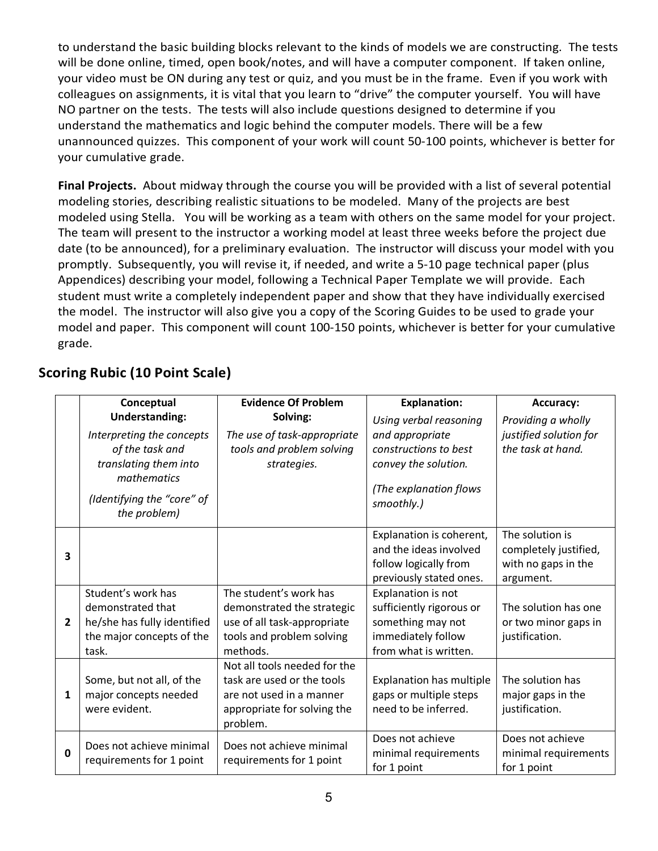to understand the basic building blocks relevant to the kinds of models we are constructing. The tests will be done online, timed, open book/notes, and will have a computer component. If taken online, your video must be ON during any test or quiz, and you must be in the frame. Even if you work with colleagues on assignments, it is vital that you learn to "drive" the computer yourself. You will have NO partner on the tests. The tests will also include questions designed to determine if you understand the mathematics and logic behind the computer models. There will be a few unannounced quizzes. This component of your work will count 50-100 points, whichever is better for your cumulative grade.

**Final Projects.** About midway through the course you will be provided with a list of several potential modeling stories, describing realistic situations to be modeled. Many of the projects are best modeled using Stella. You will be working as a team with others on the same model for your project. The team will present to the instructor a working model at least three weeks before the project due date (to be announced), for a preliminary evaluation. The instructor will discuss your model with you promptly. Subsequently, you will revise it, if needed, and write a 5-10 page technical paper (plus Appendices) describing your model, following a Technical Paper Template we will provide. Each student must write a completely independent paper and show that they have individually exercised the model. The instructor will also give you a copy of the Scoring Guides to be used to grade your model and paper. This component will count 100-150 points, whichever is better for your cumulative grade.

|                | Conceptual                                 | <b>Evidence Of Problem</b>              | <b>Explanation:</b>      | Accuracy:              |
|----------------|--------------------------------------------|-----------------------------------------|--------------------------|------------------------|
|                | <b>Understanding:</b>                      | Solving:                                | Using verbal reasoning   | Providing a wholly     |
|                | Interpreting the concepts                  | The use of task-appropriate             | and appropriate          | justified solution for |
|                | of the task and                            | tools and problem solving               | constructions to best    | the task at hand.      |
|                | translating them into<br>mathematics       | strategies.                             | convey the solution.     |                        |
|                |                                            |                                         | (The explanation flows   |                        |
|                | (Identifying the "core" of<br>the problem) |                                         | smoothly.)               |                        |
|                |                                            |                                         | Explanation is coherent, | The solution is        |
| 3              |                                            |                                         | and the ideas involved   | completely justified,  |
|                |                                            |                                         | follow logically from    | with no gaps in the    |
|                |                                            |                                         | previously stated ones.  | argument.              |
|                | Student's work has                         | The student's work has                  | Explanation is not       |                        |
|                | demonstrated that                          | demonstrated the strategic              | sufficiently rigorous or | The solution has one   |
| $\overline{2}$ | he/she has fully identified                | use of all task-appropriate             | something may not        | or two minor gaps in   |
|                | the major concepts of the                  | tools and problem solving               | immediately follow       | justification.         |
|                | task.                                      | methods.                                | from what is written.    |                        |
|                |                                            | Not all tools needed for the            |                          |                        |
|                | Some, but not all, of the                  | task are used or the tools              | Explanation has multiple | The solution has       |
| 1              | major concepts needed                      | are not used in a manner                | gaps or multiple steps   | major gaps in the      |
|                | were evident.                              | appropriate for solving the<br>problem. | need to be inferred.     | justification.         |
|                | Does not achieve minimal                   | Does not achieve minimal                | Does not achieve         | Does not achieve       |
| $\Omega$       | requirements for 1 point                   | requirements for 1 point                | minimal requirements     | minimal requirements   |
|                |                                            |                                         | for 1 point              | for 1 point            |